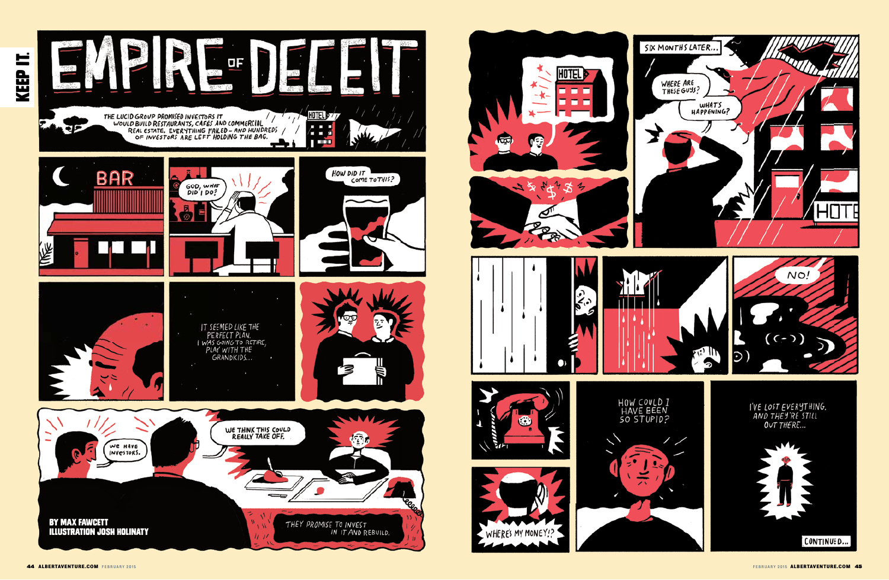

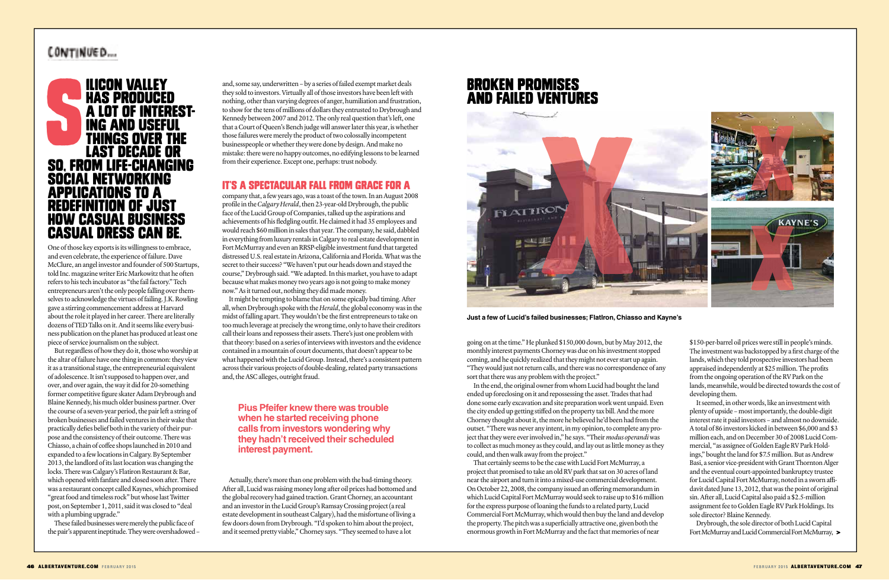# CONTINUED...



One of those key exports is its willingness to embrace, and even celebrate, the experience of failure. Dave McClure, an angel investor and founder of 500 Startups, told Inc. magazine writer Eric Markowitz that he often refers to his tech incubator as "the fail factory." Tech entrepreneurs aren't the only people falling over themselves to acknowledge the virtues of failing. J.K. Rowling gave a stirring commencement address at Harvard about the role it played in her career. There are literally dozens of TED Talks on it. And it seems like every business publication on the planet has produced at least one piece of service journalism on the subject.

and, some say, underwritten – by a series of failed exempt market deals they sold to investors. Virtually all of those investors have been left with nothing, other than varying degrees of anger, humiliation and frustration, to show for the tens of millions of dollars they entrusted to Drybrough and Kennedy between 2007 and 2012. The only real question that's left, one that a Court of Queen's Bench judge will answer later this year, is whether those failures were merely the product of two colossally incompetent businesspeople or whether they were done by design. And make no mistake: there were no happy outcomes, no edifying lessons to be learned from their experience. Except one, perhaps: trust nobody. **EXECUTE:**<br> **EXECUTED**<br> **EXECUTED**<br> **EXECUTED**<br> **EXECUTED**<br> **EXECUTED**<br> **EXECUTED**<br> **EXECUTED**<br> **EXECUTED**<br> **EXECUTED**<br> **EXECUTED**<br> **EXECUTED**<br> **EXECUTED**<br> **EXECUTED**<br> **EXECUTED**<br> **EXECUTED**<br> **EXECUTED**<br> **EXECUTED**<br> **EXECU** 

But regardless of how they do it, those who worship at the altar of failure have one thing in common: they view it as a transitional stage, the entrepreneurial equivalent of adolescence. It isn't supposed to happen over, and over, and over again, the way it did for 20-something former competitive figure skater Adam Drybrough and Blaine Kennedy, his much older business partner. Over the course of a seven-year period, the pair left a string of broken businesses and failed ventures in their wake that practically defies belief both in the variety of their purpose and the consistency of their outcome. There was Chiasso, a chain of coffee shops launched in 2010 and expanded to a few locations in Calgary. By September 2013, the landlord of its last location was changing the locks. There was Calgary's Flatiron Restaurant & Bar, which opened with fanfare and closed soon after. There was a restaurant concept called Kaynes, which promised "great food and timeless rock" but whose last Twitter post, on September 1, 2011, said it was closed to "deal with a plumbing upgrade."

These failed businesses were merely the public face of the pair's apparent ineptitude. They were overshadowed –

### it's a speCtAcUlAr fAll froM graCe for a

company that, a few years ago, was a toast of the town. In an August 2008 profile in the *Calgary Herald*, then 23-year-old Drybrough, the public face of the Lucid Group of Companies, talked up the aspirations and achievements of his fledgling outfit. He claimed it had 35 employees and would reach \$60 million in sales that year. The company, he said, dabbled in everything from luxury rentals in Calgary to real estate development in Fort McMurray and even an RRSP-eligible investment fund that targeted distressed U.S. real estate in Arizona, California and Florida. What was the secret to their success? "We haven't put our heads down and stayed the course," Drybrough said. "We adapted. In this market, you have to adapt because what makes money two years ago is not going to make money now." As it turned out, nothing they did made money.

It might be tempting to blame that on some epically bad timing. After all, when Drybrough spoke with the *Herald*, the global economy was in the midst of falling apart. They wouldn't be the first entrepreneurs to take on too much leverage at precisely the wrong time, only to have their creditors call their loans and repossess their assets. There's just one problem with that theory: based on a series of interviews with investors and the evidence contained in a mountain of court documents, that doesn't appear to be what happened with the Lucid Group. Instead, there's a consistent pattern across their various projects of double-dealing, related party transactions and, the ASC alleges, outright fraud.

Actually, there's more than one problem with the bad-timing theory. After all, Lucid was raising money long after oil prices had bottomed and the global recovery had gained traction. Grant Chorney, an accountant and an investor in the Lucid Group's Ramsay Crossing project (a real estate development in southeast Calgary), had the misfortune of living a few doors down from Drybrough. "I'd spoken to him about the project, and it seemed pretty viable," Chorney says. "They seemed to have a lot

going on at the time." He plunked \$150,000 down, but by May 2012, the monthly interest payments Chorney was due on his investment stopped coming, and he quickly realized that they might not ever start up again. "They would just not return calls, and there was no correspondence of any sort that there was any problem with the project."

In the end, the original owner from whom Lucid had bought the land ended up foreclosing on it and repossessing the asset. Trades that had done some early excavation and site preparation work went unpaid. Even the city ended up getting stiffed on the property tax bill. And the more Chorney thought about it, the more he believed he'd been had from the outset. "There was never any intent, in my opinion, to complete any project that they were ever involved in," he says. "Their *modus operandi* was to collect as much money as they could, and lay out as little money as they could, and then walk away from the project."

That certainly seems to be the case with Lucid Fort McMurray, a project that promised to take an old RV park that sat on 30 acres of land near the airport and turn it into a mixed-use commercial development. On October 22, 2008, the company issued an offering memorandum in which Lucid Capital Fort McMurray would seek to raise up to \$16 million for the express purpose of loaning the funds to a related party, Lucid Commercial Fort McMurray, which would then buy the land and develop the property. The pitch was a superficially attractive one, given both the enormous growth in Fort McMurray and the fact that memories of near

\$150-per-barrel oil prices were still in people's minds. The investment was backstopped by a first charge of the lands, which they told prospective investors had been appraised independently at \$25 million. The profits from the ongoing operation of the RV Park on the lands, meanwhile, would be directed towards the cost of developing them.

It seemed, in other words, like an investment with plenty of upside – most importantly, the double-digit interest rate it paid investors – and almost no downside. A total of 86 investors kicked in between \$6,000 and \$3 million each, and on December 30 of 2008 Lucid Commercial, "as assignee of Golden Eagle RV Park Holdings," bought the land for \$7.5 million. But as Andrew Basi, a senior vice-president with Grant Thornton Alger and the eventual court-appointed bankruptcy trustee for Lucid Capital Fort McMurray, noted in a sworn affidavit dated June 13, 2012, that was the point of original sin. After all, Lucid Capital also paid a \$2.5-million assignment fee to Golden Eagle RV Park Holdings. Its sole director? Blaine Kennedy.

Drybrough, the sole director of both Lucid Capital Fort McMurray and Lucid Commercial Fort McMurray, >

# aNd fAiled ventureS



**Just a few of Lucid's failed businesses; FlatIron, Chiasso and Kayne's**

# **Pius Pfeifer knew there was trouble when he started receiving phone calls from investors wondering why they hadn't received their scheduled interest payment.**